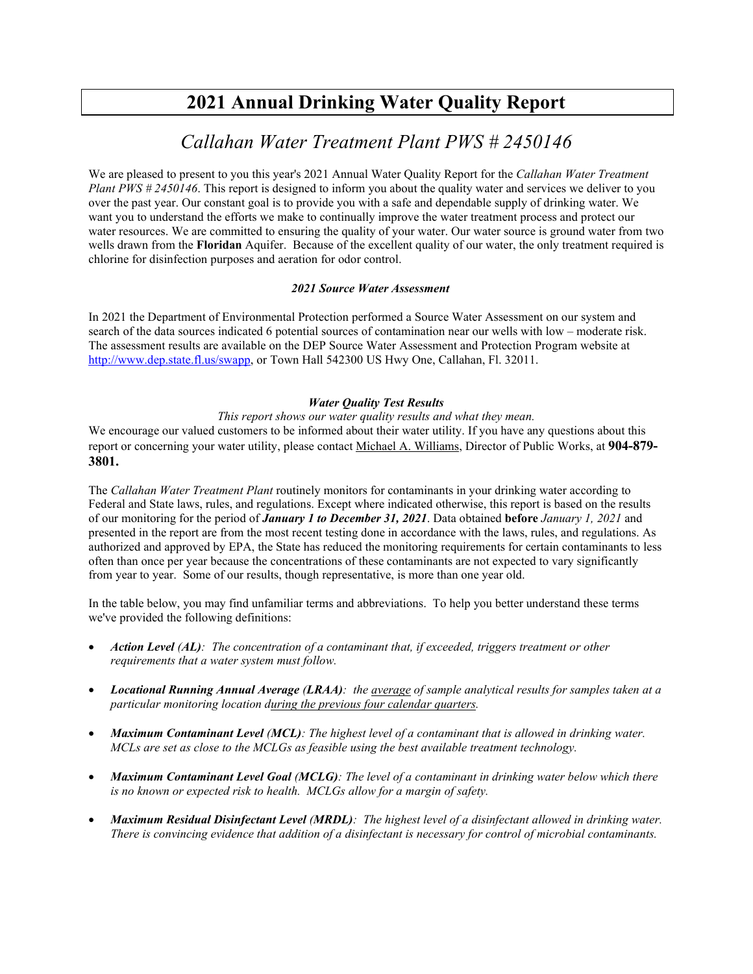# **2021 Annual Drinking Water Quality Report**

## *Callahan Water Treatment Plant PWS # 2450146*

We are pleased to present to you this year's 2021 Annual Water Quality Report for the *Callahan Water Treatment Plant PWS # 2450146*. This report is designed to inform you about the quality water and services we deliver to you over the past year. Our constant goal is to provide you with a safe and dependable supply of drinking water. We want you to understand the efforts we make to continually improve the water treatment process and protect our water resources. We are committed to ensuring the quality of your water. Our water source is ground water from two wells drawn from the **Floridan** Aquifer. Because of the excellent quality of our water, the only treatment required is chlorine for disinfection purposes and aeration for odor control.

#### *2021 Source Water Assessment*

In 2021 the Department of Environmental Protection performed a Source Water Assessment on our system and search of the data sources indicated 6 potential sources of contamination near our wells with low – moderate risk. The assessment results are available on the DEP Source Water Assessment and Protection Program website at [http://www.dep.state.fl.us/swapp,](http://www.dep.state.fl.us/swapp%3chttp:/www.dep.state.fl.us/swapp) or Town Hall 542300 US Hwy One, Callahan, Fl. 32011.

### *Water Quality Test Results*

### *This report shows our water quality results and what they mean.*

We encourage our valued customers to be informed about their water utility. If you have any questions about this report or concerning your water utility, please contact Michael A. Williams, Director of Public Works, at **904-879- 3801.**

The *Callahan Water Treatment Plant* routinely monitors for contaminants in your drinking water according to Federal and State laws, rules, and regulations. Except where indicated otherwise, this report is based on the results of our monitoring for the period of *January 1 to December 31, 2021*. Data obtained **before** *January 1, 2021* and presented in the report are from the most recent testing done in accordance with the laws, rules, and regulations. As authorized and approved by EPA, the State has reduced the monitoring requirements for certain contaminants to less often than once per year because the concentrations of these contaminants are not expected to vary significantly from year to year. Some of our results, though representative, is more than one year old.

In the table below, you may find unfamiliar terms and abbreviations. To help you better understand these terms we've provided the following definitions:

- *Action Level (AL): The concentration of a contaminant that, if exceeded, triggers treatment or other requirements that a water system must follow.*
- *Locational Running Annual Average (LRAA): the average of sample analytical results for samples taken at a particular monitoring location during the previous four calendar quarters.*
- *Maximum Contaminant Level (MCL): The highest level of a contaminant that is allowed in drinking water. MCLs are set as close to the MCLGs as feasible using the best available treatment technology.*
- *Maximum Contaminant Level Goal (MCLG): The level of a contaminant in drinking water below which there is no known or expected risk to health. MCLGs allow for a margin of safety.*
- *Maximum Residual Disinfectant Level (MRDL): The highest level of a disinfectant allowed in drinking water. There is convincing evidence that addition of a disinfectant is necessary for control of microbial contaminants.*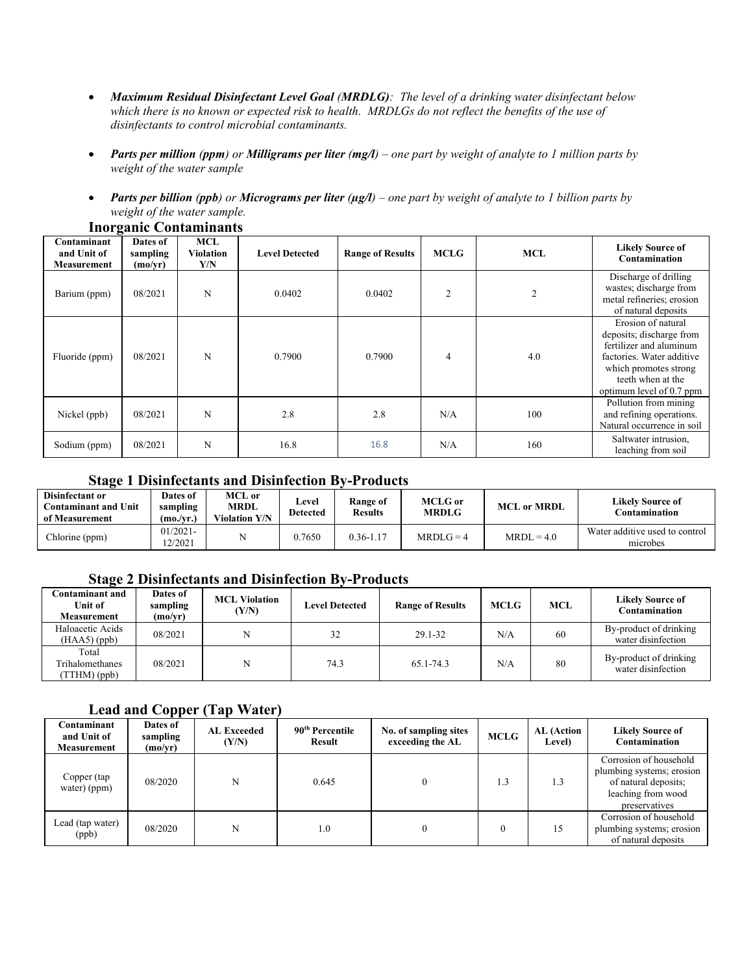- *Maximum Residual Disinfectant Level Goal (MRDLG): The level of a drinking water disinfectant below which there is no known or expected risk to health. MRDLGs do not reflect the benefits of the use of disinfectants to control microbial contaminants.*
- *Parts per million (ppm) or Milligrams per liter (mg/l) – one part by weight of analyte to 1 million parts by weight of the water sample*
- *Parts per billion (ppb) or Micrograms per liter (µg/l) – one part by weight of analyte to 1 billion parts by weight of the water sample.*

| Contaminant<br>and Unit of<br><b>Measurement</b> | Dates of<br>sampling<br>(mo/yr) | <b>MCL</b><br><b>Violation</b><br>Y/N | <b>Level Detected</b> | <b>Range of Results</b> | <b>MCLG</b>    | <b>MCL</b> | <b>Likely Source of</b><br>Contamination                                                                                                                                         |
|--------------------------------------------------|---------------------------------|---------------------------------------|-----------------------|-------------------------|----------------|------------|----------------------------------------------------------------------------------------------------------------------------------------------------------------------------------|
| Barium (ppm)                                     | 08/2021                         | N                                     | 0.0402                | 0.0402                  | $\overline{2}$ |            | Discharge of drilling<br>wastes; discharge from<br>metal refineries; erosion<br>of natural deposits                                                                              |
| Fluoride (ppm)                                   | 08/2021                         | N                                     | 0.7900                | 0.7900                  | 4              | 4.0        | Erosion of natural<br>deposits; discharge from<br>fertilizer and aluminum<br>factories. Water additive<br>which promotes strong<br>teeth when at the<br>optimum level of 0.7 ppm |
| Nickel (ppb)                                     | 08/2021                         | N                                     | 2.8                   | 2.8                     | N/A            | 100        | Pollution from mining<br>and refining operations.<br>Natural occurrence in soil                                                                                                  |
| Sodium (ppm)                                     | 08/2021                         | N                                     | 16.8                  | 16.8                    | N/A            | 160        | Saltwater intrusion,<br>leaching from soil                                                                                                                                       |

#### **Inorganic Contaminants**

## **Stage 1 Disinfectants and Disinfection By-Products**

| Disinfectant or<br>Contaminant and Unit<br>of Measurement | Dates of<br>sampling<br>(mo/vr.) | MCL or<br><b>MRDL</b><br><b>Violation Y/N</b> | Level<br><b>Detected</b> | Range of<br><b>Results</b> | <b>MCLG</b> or<br><b>MRDLG</b> | <b>MCL or MRDL</b> | Likelv Source of<br>Contamination          |
|-----------------------------------------------------------|----------------------------------|-----------------------------------------------|--------------------------|----------------------------|--------------------------------|--------------------|--------------------------------------------|
| Chlorine (ppm)                                            | $01/2021 -$<br>2/2021            |                                               | 0.7650                   | $0.36 - 1.17$              | $MRDI.G = 4$                   | $MRDL = 4.0$       | Water additive used to control<br>microbes |

### **Stage 2 Disinfectants and Disinfection By-Products**

| Contaminant and<br>Unit of<br><b>Measurement</b> | Dates of<br>sampling<br>(mo/yr) | <b>MCL Violation</b><br>(Y/N) | <b>Level Detected</b> | <b>Range of Results</b> | MCLG | <b>MCL</b> | <b>Likely Source of</b><br>Contamination     |
|--------------------------------------------------|---------------------------------|-------------------------------|-----------------------|-------------------------|------|------------|----------------------------------------------|
| Haloacetic Acids<br>$(HAA5)$ (ppb)               | 08/2021                         |                               | 32                    | 29.1-32                 | N/A  | 60         | By-product of drinking<br>water disinfection |
| Total<br>Trihalomethanes<br>(TTHM)(ppb)          | 08/2021                         |                               | 74.3                  | 65.1-74.3               | N/A  | 80         | By-product of drinking<br>water disinfection |

## **Lead and Copper (Tap Water)**

| Contaminant<br>and Unit of<br>Measurement | .<br>Dates of<br>sampling<br>(mo/yr) | <b>AL Exceeded</b><br>(Y/N) | 90 <sup>th</sup> Percentile<br>Result | No. of sampling sites<br>exceeding the AL | <b>MCLG</b> | AL (Action<br><b>Level</b> ) | <b>Likely Source of</b><br>Contamination                                                                           |
|-------------------------------------------|--------------------------------------|-----------------------------|---------------------------------------|-------------------------------------------|-------------|------------------------------|--------------------------------------------------------------------------------------------------------------------|
| Copper (tap<br>water) (ppm)               | 08/2020                              | N                           | 0.645                                 |                                           | 1.3         | 1.3                          | Corrosion of household<br>plumbing systems; erosion<br>of natural deposits;<br>leaching from wood<br>preservatives |
| Lead (tap water)<br>(ppb)                 | 08/2020                              | N                           | $1.0\,$                               |                                           | $\Omega$    | 15                           | Corrosion of household<br>plumbing systems; erosion<br>of natural deposits                                         |